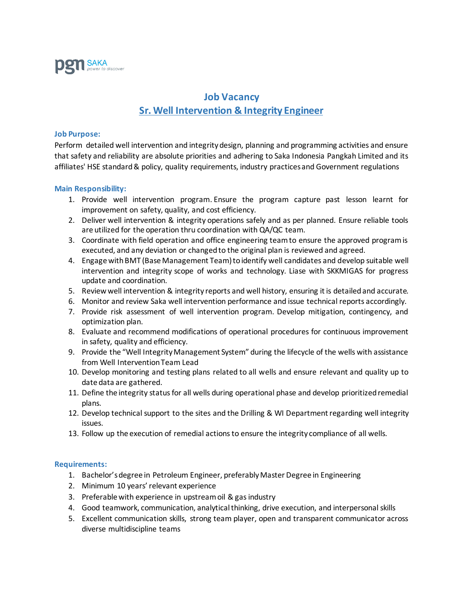

## **Job Vacancy Sr. Well Intervention & Integrity Engineer**

## **Job Purpose:**

Perform detailed well intervention and integrity design, planning and programming activities and ensure that safety and reliability are absolute priorities and adhering to Saka Indonesia Pangkah Limited and its affiliates' HSE standard & policy, quality requirements, industry practices and Government regulations

## **Main Responsibility:**

- 1. Provide well intervention program. Ensure the program capture past lesson learnt for improvement on safety, quality, and cost efficiency.
- 2. Deliver well intervention & integrity operations safely and as per planned. Ensure reliable tools are utilized for the operation thru coordination with QA/QC team.
- 3. Coordinate with field operation and office engineering team to ensure the approved program is executed, and any deviation or changed to the original plan is reviewed and agreed.
- 4. Engage with BMT (Base Management Team) to identify well candidates and develop suitable well intervention and integrity scope of works and technology. Liase with SKKMIGAS for progress update and coordination.
- 5. Review well intervention & integrity reports and well history, ensuring it is detailed and accurate.
- 6. Monitor and review Saka well intervention performance and issue technical reports accordingly.
- 7. Provide risk assessment of well intervention program. Develop mitigation, contingency, and optimization plan.
- 8. Evaluate and recommend modifications of operational procedures for continuous improvement in safety, quality and efficiency.
- 9. Provide the "Well Integrity Management System" during the lifecycle of the wells with assistance from Well Intervention Team Lead
- 10. Develop monitoring and testing plans related to all wells and ensure relevant and quality up to date data are gathered.
- 11. Define the integrity status for all wells during operational phase and develop prioritized remedial plans.
- 12. Develop technical support to the sites and the Drilling & WI Department regarding well integrity issues.
- 13. Follow up the execution of remedial actions to ensure the integrity compliance of all wells.

## **Requirements:**

- 1. Bachelor's degree in Petroleum Engineer, preferably Master Degree in Engineering
- 2. Minimum 10 years' relevant experience
- 3. Preferable with experience in upstream oil & gas industry
- 4. Good teamwork, communication, analytical thinking, drive execution, and interpersonal skills
- 5. Excellent communication skills, strong team player, open and transparent communicator across diverse multidiscipline teams